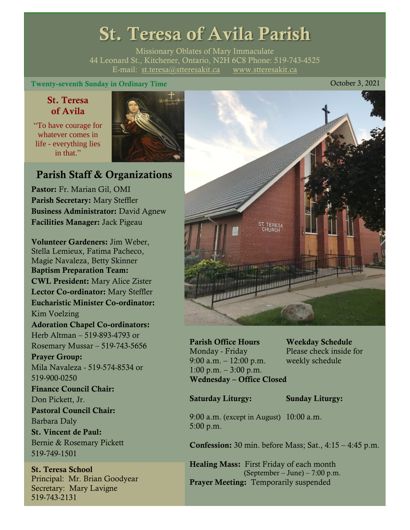# St. Teresa of Avila Parish

Missionary Oblates of Mary Immaculate 44 Leonard St., Kitchener, Ontario, N2H 6C8 Phone: 519-743-4525 E-mail: [st.teresa@stteresakit.ca](mailto:st.teresa@stteresakit.ca) [www.stteresakit.ca](http://www.stteresakit.ca/)

#### Twenty-seventh Sunday in Ordinary Time Contract Contract Contract Contract Contract Contract Contract Contract Contract Contract Contract Contract Contract Contract Contract Contract Contract Contract Contract Contract Con

# St. Teresa of Avila

"To have courage for whatever comes in life - everything lies in that"



# Parish Staff & Organizations

Pastor: Fr. Marian Gil, OMI Parish Secretary: Mary Steffler Business Administrator: David Agnew Facilities Manager: Jack Pigeau

Volunteer Gardeners: Jim Weber, Stella Lemieux, Fatima Pacheco, Magie Navaleza, Betty Skinner Baptism Preparation Team: CWL President: Mary Alice Zister Lector Co-ordinator: Mary Steffler Eucharistic Minister Co-ordinator: Kim Voelzing Adoration Chapel Co-ordinators: Herb Altman – 519-893-4793 or Rosemary Mussar – 519-743-5656 Prayer Group: Mila Navaleza - 519-574-8534 or 519-900-0250 Finance Council Chair: Don Pickett, Jr. Pastoral Council Chair: Barbara Daly St. Vincent de Paul: Bernie & Rosemary Pickett 519-749-1501

St. Teresa School Principal: Mr. Brian Goodyear Secretary: Mary Lavigne 519-743-2131



Parish Office Hours Weekday Schedule Monday - Friday Please check inside for 9:00 a.m. – 12:00 p.m. weekly schedule  $1:00 \text{ p.m.} - 3:00 \text{ p.m.}$ Wednesday – Office Closed

Saturday Liturgy: Sunday Liturgy:

9:00 a.m. (except in August) 10:00 a.m. 5:00 p.m.

Confession: 30 min. before Mass; Sat., 4:15 – 4:45 p.m.

Healing Mass: First Friday of each month (September – June) – 7:00 p.m. Prayer Meeting: Temporarily suspended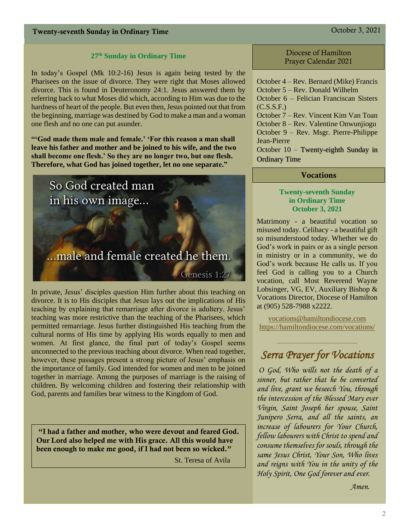## **27 th Sunday in Ordinary Time**

In today's Gospel (Mk 10:2-16) Jesus is again being tested by the Pharisees on the issue of divorce. They were right that Moses allowed divorce. This is found in Deuteronomy 24:1. Jesus answered them by referring back to what Moses did which, according to Him was due to the hardness of heart of the people. But even then, Jesus pointed out that from the beginning, marriage was destined by God to make a man and a woman one flesh and no one can put asunder.

**"'God made them male and female.' 'For this reason a man shall leave his father and mother and be joined to his wife, and the two shall become one flesh.' So they are no longer two, but one flesh. Therefore, what God has joined together, let no one separate."**



In private, Jesus' disciples question Him further about this teaching on divorce. It is to His disciples that Jesus lays out the implications of His teaching by explaining that remarriage after divorce is adultery. Jesus' teaching was more restrictive than the teaching of the Pharisees, which permitted remarriage. Jesus further distinguished His teaching from the cultural norms of His time by applying His words equally to men and women. At first glance, the final part of today's Gospel seems unconnected to the previous teaching about divorce. When read together, however, these passages present a strong picture of Jesus' emphasis on the importance of family. God intended for women and men to be joined together in marriage. Among the purposes of marriage is the raising of children. By welcoming children and fostering their relationship with God, parents and families bear witness to the Kingdom of God.

"I had a father and mother, who were devout and feared God. Our Lord also helped me with His grace. All this would have been enough to make me good, if I had not been so wicked."

St. Teresa of Avila

#### Diocese of Hamilton Prayer Calendar 2021

October 4 – Rev. Bernard (Mike) Francis October 5 – Rev. Donald Wilhelm October 6 – Felician Franciscan Sisters  $(C.S.S.F.)$ October 7 – Rev. Vincent Kim Van Toan October 8 – Rev. Valentine Onwunjiogu October 9 – Rev. Msgr. Pierre-Philippe Jean-Pierre

October 10 – Twenty-eighth Sunday in Ordinary Time

## **Vocations**

#### **Twenty-seventh Sunday in Ordinary Time October 3, 2021**

Matrimony - a beautiful vocation so misused today. Celibacy - a beautiful gift so misunderstood today. Whether we do God's work in pairs or as a single person in ministry or in a community, we do God's work because He calls us. If you feel God is calling you to a Church vocation, call Most Reverend Wayne Lobsinger, VG, EV, Auxiliary Bishop & Vocations Director, Diocese of Hamilton at (905) 528-7988 x2222.

[vocations@hamiltondiocese.com](mailto:vocations@hamiltondiocese.com)  <https://hamiltondiocese.com/vocations/>

# *Serra Prayer for Vocations*

 $\_$ 

*O God, Who wills not the death of a sinner, but rather that he be converted and live, grant we beseech You, through the intercession of the Blessed Mary ever Virgin, Saint Joseph her spouse, Saint Junipero Serra, and all the saints, an increase of labourers for Your Church, fellow labourers with Christ to spend and consume themselves for souls, through the same Jesus Christ, Your Son, Who lives and reigns with You in the unity of the Holy Spirit, One God forever and ever.* 

 *Amen.*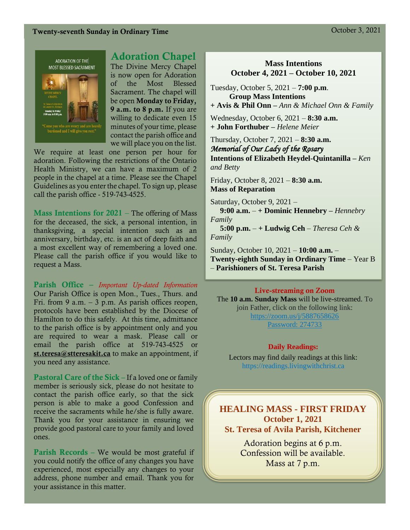# Twenty-seventh Sunday in Ordinary Time Contract Contract Contract Contract Contract Contract Contract Contract Contract Contract Contract Contract Contract Contract Contract Contract Contract Contract Contract Contract Con





# Adoration Chapel

The Divine Mercy Chapel is now open for Adoration of the Most Blessed Sacrament. The chapel will be open Monday to Friday, 9 a.m. to 8 p.m. If you are willing to dedicate even 15 minutes of your time, please contact the parish office and we will place you on the list.

We require at least one person per hour for adoration. Following the restrictions of the Ontario Health Ministry, we can have a maximum of 2 people in the chapel at a time. Please see the Chapel Guidelines as you enter the chapel. To sign up, please call the parish office - 519-743-4525.

**Mass Intentions for 2021** – The offering of Mass for the deceased, the sick, a personal intention, in thanksgiving, a special intention such as an anniversary, birthday, etc. is an act of deep faith and a most excellent way of remembering a loved one. Please call the parish office if you would like to request a Mass.

Parish Office – *Important Up-dated Information*  Our Parish Office is open Mon., Tues., Thurs. and Fri. from 9 a.m.  $-3$  p.m. As parish offices reopen, protocols have been established by the Diocese of Hamilton to do this safely. At this time, admittance to the parish office is by appointment only and you are required to wear a mask. Please call or email the parish office at 519-743-4525 or [st.teresa@stteresakit.ca](mailto:st.teresa@stteresakit.ca) to make an appointment, if you need any assistance.

Pastoral Care of the Sick – If a loved one or family member is seriously sick, please do not hesitate to contact the parish office early, so that the sick person is able to make a good Confession and receive the sacraments while he/she is fully aware. Thank you for your assistance in ensuring we provide good pastoral care to your family and loved ones.

Parish Records – We would be most grateful if you could notify the office of any changes you have experienced, most especially any changes to your address, phone number and email. Thank you for your assistance in this matter.

## **Mass Intentions October 4, 2021 – October 10, 2021**

Tuesday, October 5, 2021 – **7:00 p.m**. **Group Mass Intentions** 

**+ Avis & Phil Onn –** *Ann & Michael Onn & Family*

Wednesday, October 6, 2021 – **8:30 a.m. + John Forthuber –** *Helene Meier*

Thursday, October 7, 2021 – **8:30 a.m.** *Memorial of Our Lady of the Rosary*  **Intentions of Elizabeth Heydel-Quintanilla –** *Ken and Betty*

Friday, October 8, 2021 – **8:30 a.m. Mass of Reparation**

Saturday, October 9, 2021 –

 **9:00 a.m.** – **+ Dominic Hennebry –** *Hennebry Family*

 **5:00 p.m.** – **+ Ludwig Ceh** – *Theresa Ceh & Family*

Sunday, October 10, 2021 – **10:00 a.m.** – **Twenty-eighth Sunday in Ordinary Time** – Year B – **Parishioners of St. Teresa Parish** 

#### Live-streaming on Zoom

The **10 a.m. Sunday Mass** will be live-streamed. To join Father, click on the following link: <https://zoom.us/j/5887658626> Password: 274733

#### **Daily Readings:**

Lectors may find daily readings at this link: https://readings.livingwithchrist.ca

**HEALING MASS - FIRST FRIDAY October 1, 2021 St. Teresa of Avila Parish, Kitchener**

> Adoration begins at 6 p.m. Confession will be available. Mass at 7 p.m.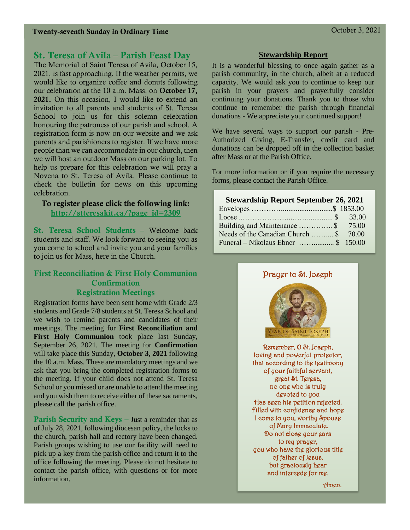# St. Teresa of Avila – Parish Feast Day

The Memorial of Saint Teresa of Avila, October 15, 2021, is fast approaching. If the weather permits, we would like to organize coffee and donuts following our celebration at the 10 a.m. Mass, on October 17, 2021. On this occasion, I would like to extend an invitation to all parents and students of St. Teresa School to join us for this solemn celebration honouring the patroness of our parish and school. A registration form is now on our website and we ask parents and parishioners to register. If we have more people than we can accommodate in our church, then we will host an outdoor Mass on our parking lot. To help us prepare for this celebration we will pray a Novena to St. Teresa of Avila. Please continue to check the bulletin for news on this upcoming celebration.

#### To register please click the following link: [http://stteresakit.ca/?page\\_id=2309](http://stteresakit.ca/?page_id=2309)

St. Teresa School Students – Welcome back students and staff. We look forward to seeing you as you come to school and invite you and your families to join us for Mass, here in the Church.

## First Reconciliation & First Holy Communion **Confirmation** Registration Meetings

Registration forms have been sent home with Grade 2/3 students and Grade 7/8 students at St. Teresa School and we wish to remind parents and candidates of their meetings. The meeting for **First Reconciliation and First Holy Communion** took place last Sunday, September 26, 2021. The meeting for **Confirmation** will take place this Sunday, **October 3, 2021** following the 10 a.m. Mass. These are mandatory meetings and we ask that you bring the completed registration forms to the meeting. If your child does not attend St. Teresa School or you missed or are unable to attend the meeting and you wish them to receive either of these sacraments, please call the parish office.

Parish Security and Keys – Just a reminder that as of July 28, 2021, following diocesan policy, the locks to the church, parish hall and rectory have been changed. Parish groups wishing to use our facility will need to pick up a key from the parish office and return it to the office following the meeting. Please do not hesitate to contact the parish office, with questions or for more information.

#### **Stewardship Report**

It is a wonderful blessing to once again gather as a parish community, in the church, albeit at a reduced capacity. We would ask you to continue to keep our parish in your prayers and prayerfully consider continuing your donations. Thank you to those who continue to remember the parish through financial donations - We appreciate your continued support!

We have several ways to support our parish - Pre-Authorized Giving, E-Transfer, credit card and donations can be dropped off in the collection basket after Mass or at the Parish Office.

For more information or if you require the necessary forms, please contact the Parish Office.

#### **Stewardship Report September 26, 2021**

| Building and Maintenance  \$ 75.00                   |  |
|------------------------------------------------------|--|
| Needs of the Canadian Church  \$ 70.00               |  |
| Funeral – Nikolaus Ebner $\ldots$ $\ldots$ \$ 150.00 |  |



Amen.